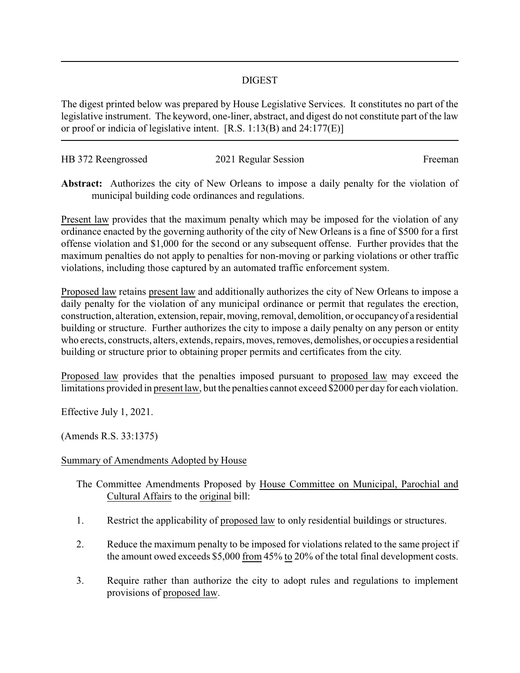## DIGEST

The digest printed below was prepared by House Legislative Services. It constitutes no part of the legislative instrument. The keyword, one-liner, abstract, and digest do not constitute part of the law or proof or indicia of legislative intent. [R.S. 1:13(B) and 24:177(E)]

| HB 372 Reengrossed | 2021 Regular Session | Freeman |
|--------------------|----------------------|---------|
|                    |                      |         |

**Abstract:** Authorizes the city of New Orleans to impose a daily penalty for the violation of municipal building code ordinances and regulations.

Present law provides that the maximum penalty which may be imposed for the violation of any ordinance enacted by the governing authority of the city of New Orleans is a fine of \$500 for a first offense violation and \$1,000 for the second or any subsequent offense. Further provides that the maximum penalties do not apply to penalties for non-moving or parking violations or other traffic violations, including those captured by an automated traffic enforcement system.

Proposed law retains present law and additionally authorizes the city of New Orleans to impose a daily penalty for the violation of any municipal ordinance or permit that regulates the erection, construction, alteration, extension, repair, moving, removal, demolition, or occupancy of a residential building or structure. Further authorizes the city to impose a daily penalty on any person or entity who erects, constructs, alters, extends, repairs, moves, removes, demolishes, or occupies a residential building or structure prior to obtaining proper permits and certificates from the city.

Proposed law provides that the penalties imposed pursuant to proposed law may exceed the limitations provided in present law, but the penalties cannot exceed \$2000 per day for each violation.

Effective July 1, 2021.

(Amends R.S. 33:1375)

## Summary of Amendments Adopted by House

- The Committee Amendments Proposed by House Committee on Municipal, Parochial and Cultural Affairs to the original bill:
- 1. Restrict the applicability of proposed law to only residential buildings or structures.
- 2. Reduce the maximum penalty to be imposed for violations related to the same project if the amount owed exceeds \$5,000  $\underline{\text{from}}$  45% to 20% of the total final development costs.
- 3. Require rather than authorize the city to adopt rules and regulations to implement provisions of proposed law.